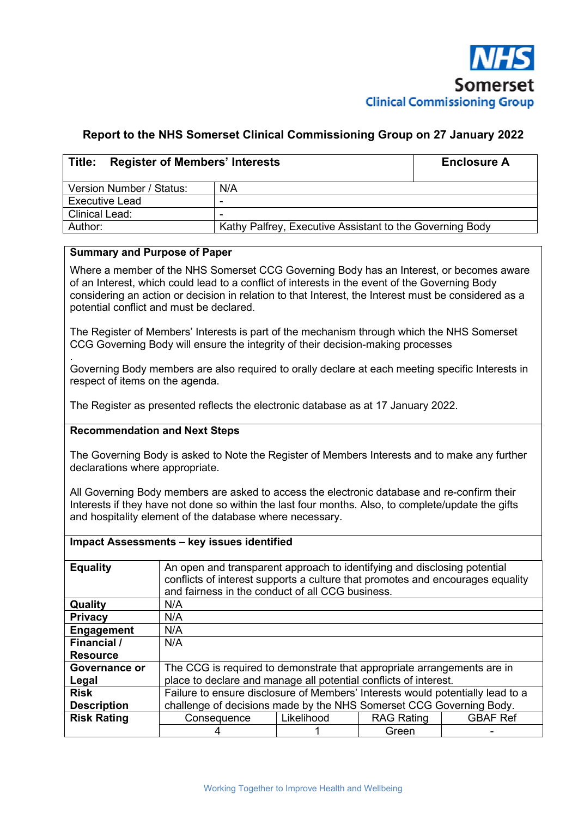

## **Report to the NHS Somerset Clinical Commissioning Group on 27 January 2022**

| <b>Register of Members' Interests</b><br>Title: | <b>Enclosure A</b>                                       |  |  |  |  |
|-------------------------------------------------|----------------------------------------------------------|--|--|--|--|
| Version Number / Status:                        | N/A                                                      |  |  |  |  |
| <b>Executive Lead</b>                           |                                                          |  |  |  |  |
| <b>Clinical Lead:</b>                           |                                                          |  |  |  |  |
| Author:                                         | Kathy Palfrey, Executive Assistant to the Governing Body |  |  |  |  |

### **Summary and Purpose of Paper**

Where a member of the NHS Somerset CCG Governing Body has an Interest, or becomes aware of an Interest, which could lead to a conflict of interests in the event of the Governing Body considering an action or decision in relation to that Interest, the Interest must be considered as a potential conflict and must be declared.

The Register of Members' Interests is part of the mechanism through which the NHS Somerset CCG Governing Body will ensure the integrity of their decision-making processes

. Governing Body members are also required to orally declare at each meeting specific Interests in respect of items on the agenda.

The Register as presented reflects the electronic database as at 17 January 2022.

#### **Recommendation and Next Steps**

The Governing Body is asked to Note the Register of Members Interests and to make any further declarations where appropriate.

All Governing Body members are asked to access the electronic database and re-confirm their Interests if they have not done so within the last four months. Also, to complete/update the gifts and hospitality element of the database where necessary.

|                    | Impact Assessments - key issues identified                                                                                                                                                                     |            |                   |                 |  |  |  |  |  |  |
|--------------------|----------------------------------------------------------------------------------------------------------------------------------------------------------------------------------------------------------------|------------|-------------------|-----------------|--|--|--|--|--|--|
|                    |                                                                                                                                                                                                                |            |                   |                 |  |  |  |  |  |  |
| <b>Equality</b>    | An open and transparent approach to identifying and disclosing potential<br>conflicts of interest supports a culture that promotes and encourages equality<br>and fairness in the conduct of all CCG business. |            |                   |                 |  |  |  |  |  |  |
| Quality            | N/A                                                                                                                                                                                                            |            |                   |                 |  |  |  |  |  |  |
| <b>Privacy</b>     | N/A                                                                                                                                                                                                            |            |                   |                 |  |  |  |  |  |  |
| <b>Engagement</b>  | N/A                                                                                                                                                                                                            |            |                   |                 |  |  |  |  |  |  |
| Financial /        | N/A                                                                                                                                                                                                            |            |                   |                 |  |  |  |  |  |  |
| <b>Resource</b>    |                                                                                                                                                                                                                |            |                   |                 |  |  |  |  |  |  |
| Governance or      | The CCG is required to demonstrate that appropriate arrangements are in                                                                                                                                        |            |                   |                 |  |  |  |  |  |  |
| Legal              | place to declare and manage all potential conflicts of interest.                                                                                                                                               |            |                   |                 |  |  |  |  |  |  |
| <b>Risk</b>        | Failure to ensure disclosure of Members' Interests would potentially lead to a                                                                                                                                 |            |                   |                 |  |  |  |  |  |  |
| <b>Description</b> | challenge of decisions made by the NHS Somerset CCG Governing Body.                                                                                                                                            |            |                   |                 |  |  |  |  |  |  |
| <b>Risk Rating</b> | Consequence                                                                                                                                                                                                    | Likelihood | <b>RAG Rating</b> | <b>GBAF Ref</b> |  |  |  |  |  |  |
|                    |                                                                                                                                                                                                                |            | Green             |                 |  |  |  |  |  |  |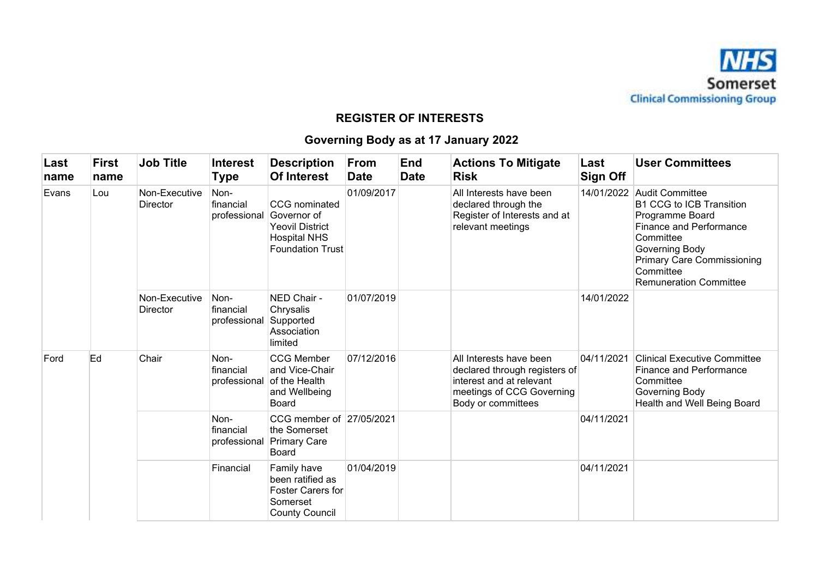

## **REGISTER OF INTERESTS**

# **Governing Body as at 17 January 2022**

| Last<br>name | <b>First</b><br>name             | <b>Job Title</b>          | <b>Interest</b><br><b>Type</b>                                                                                               | <b>Description</b><br>Of Interest                                                         | From<br><b>Date</b> | End<br><b>Date</b>                                                                                   | <b>Actions To Mitigate</b><br><b>Risk</b>                                                                                               | Last<br><b>Sign Off</b>                                                                                                                                                                                                              | <b>User Committees</b>                                                                                                              |
|--------------|----------------------------------|---------------------------|------------------------------------------------------------------------------------------------------------------------------|-------------------------------------------------------------------------------------------|---------------------|------------------------------------------------------------------------------------------------------|-----------------------------------------------------------------------------------------------------------------------------------------|--------------------------------------------------------------------------------------------------------------------------------------------------------------------------------------------------------------------------------------|-------------------------------------------------------------------------------------------------------------------------------------|
| Evans<br>Lou | Non-Executive<br><b>Director</b> | Non-<br>financial         | <b>CCG</b> nominated<br>professional Governor of<br><b>Yeovil District</b><br><b>Hospital NHS</b><br><b>Foundation Trust</b> | 01/09/2017                                                                                |                     | All Interests have been<br>declared through the<br>Register of Interests and at<br>relevant meetings |                                                                                                                                         | 14/01/2022 Audit Committee<br><b>B1 CCG to ICB Transition</b><br>Programme Board<br><b>Finance and Performance</b><br>Committee<br>Governing Body<br><b>Primary Care Commissioning</b><br>Committee<br><b>Remuneration Committee</b> |                                                                                                                                     |
|              |                                  | Non-Executive<br>Director | Non-<br>financial<br>professional                                                                                            | NED Chair -<br>Chrysalis<br>Supported<br>Association<br>limited                           | 01/07/2019          |                                                                                                      |                                                                                                                                         | 14/01/2022                                                                                                                                                                                                                           |                                                                                                                                     |
| Ed<br>Ford   |                                  | Chair                     | Non-<br>financial<br>professional                                                                                            | <b>CCG Member</b><br>and Vice-Chair<br>of the Health<br>and Wellbeing<br>Board            | 07/12/2016          |                                                                                                      | All Interests have been<br>declared through registers of<br>interest and at relevant<br>meetings of CCG Governing<br>Body or committees | 04/11/2021                                                                                                                                                                                                                           | <b>Clinical Executive Committee</b><br><b>Finance and Performance</b><br>Committee<br>Governing Body<br>Health and Well Being Board |
|              |                                  |                           | Non-<br>financial<br>professional                                                                                            | CCG member of 27/05/2021<br>the Somerset<br><b>Primary Care</b><br>Board                  |                     |                                                                                                      |                                                                                                                                         | 04/11/2021                                                                                                                                                                                                                           |                                                                                                                                     |
|              |                                  |                           | Financial                                                                                                                    | Family have<br>been ratified as<br>Foster Carers for<br>Somerset<br><b>County Council</b> | 01/04/2019          |                                                                                                      |                                                                                                                                         | 04/11/2021                                                                                                                                                                                                                           |                                                                                                                                     |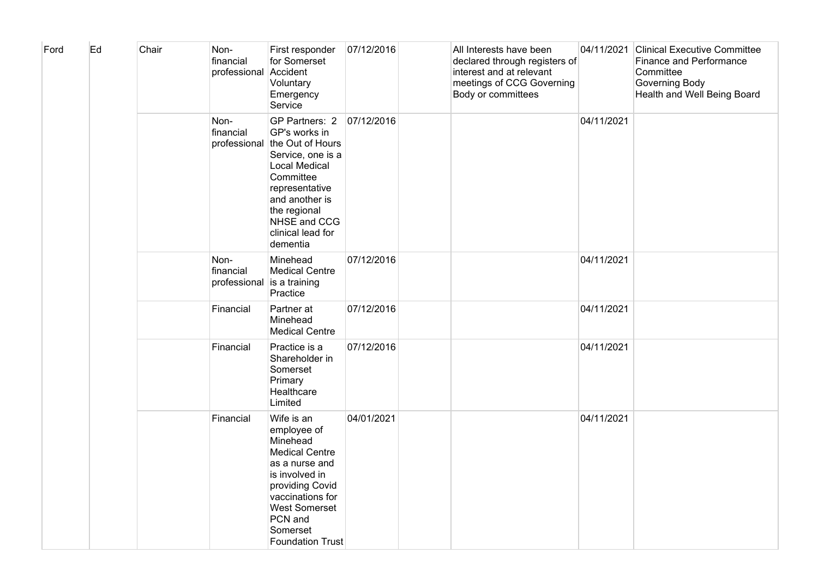| Ford | Ed | Chair     | Non-<br>financial<br>professional Accident                                                                                                                                                                          | First responder<br>for Somerset<br>Voluntary<br>Emergency<br>Service                                                                                                                                                            | 07/12/2016 | All Interests have been<br>declared through registers of<br>interest and at relevant<br>meetings of CCG Governing<br>Body or committees | 04/11/2021 | <b>Clinical Executive Committee</b><br>Finance and Performance<br>Committee<br>Governing Body<br>Health and Well Being Board |
|------|----|-----------|---------------------------------------------------------------------------------------------------------------------------------------------------------------------------------------------------------------------|---------------------------------------------------------------------------------------------------------------------------------------------------------------------------------------------------------------------------------|------------|-----------------------------------------------------------------------------------------------------------------------------------------|------------|------------------------------------------------------------------------------------------------------------------------------|
|      |    |           | Non-<br>financial                                                                                                                                                                                                   | GP Partners: 2<br>GP's works in<br>professional the Out of Hours<br>Service, one is a<br><b>Local Medical</b><br>Committee<br>representative<br>and another is<br>the regional<br>NHSE and CCG<br>clinical lead for<br>dementia | 07/12/2016 |                                                                                                                                         | 04/11/2021 |                                                                                                                              |
|      |    |           | Non-<br>financial<br>professional is a training                                                                                                                                                                     | Minehead<br><b>Medical Centre</b><br>Practice                                                                                                                                                                                   | 07/12/2016 |                                                                                                                                         | 04/11/2021 |                                                                                                                              |
|      |    |           | Financial                                                                                                                                                                                                           | Partner at<br>Minehead<br><b>Medical Centre</b>                                                                                                                                                                                 | 07/12/2016 |                                                                                                                                         | 04/11/2021 |                                                                                                                              |
|      |    |           | Financial                                                                                                                                                                                                           | Practice is a<br>Shareholder in<br>Somerset<br>Primary<br>Healthcare<br>Limited                                                                                                                                                 | 07/12/2016 |                                                                                                                                         | 04/11/2021 |                                                                                                                              |
|      |    | Financial | Wife is an<br>employee of<br>Minehead<br><b>Medical Centre</b><br>as a nurse and<br>is involved in<br>providing Covid<br>vaccinations for<br><b>West Somerset</b><br>PCN and<br>Somerset<br><b>Foundation Trust</b> | 04/01/2021                                                                                                                                                                                                                      |            | 04/11/2021                                                                                                                              |            |                                                                                                                              |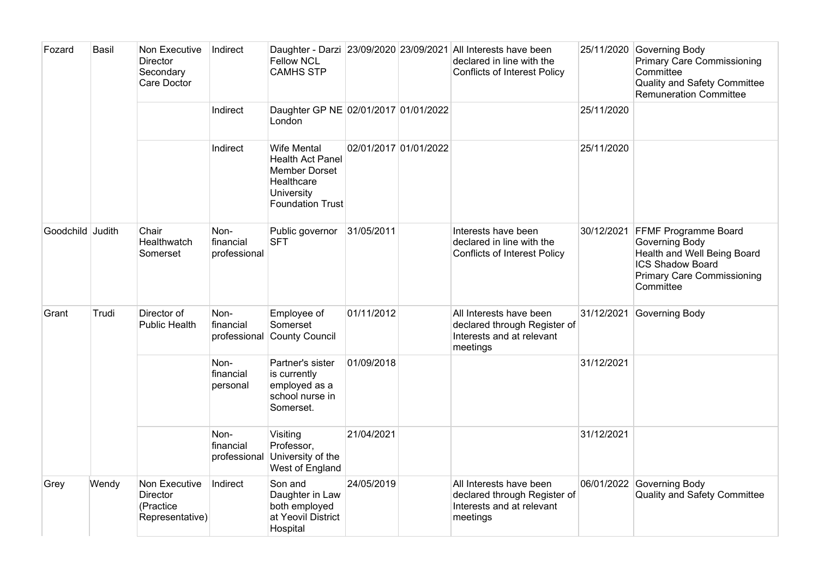| Fozard           | Basil | Non Executive<br><b>Director</b><br>Secondary<br>Care Doctor     | Indirect                          | <b>Fellow NCL</b><br><b>CAMHS STP</b>                                                                          |            |                       | Daughter - Darzi 23/09/2020 23/09/2021 All Interests have been<br>declared in line with the<br><b>Conflicts of Interest Policy</b> |            | 25/11/2020 Governing Body<br><b>Primary Care Commissioning</b><br>Committee<br><b>Quality and Safety Committee</b><br><b>Remuneration Committee</b>       |
|------------------|-------|------------------------------------------------------------------|-----------------------------------|----------------------------------------------------------------------------------------------------------------|------------|-----------------------|------------------------------------------------------------------------------------------------------------------------------------|------------|-----------------------------------------------------------------------------------------------------------------------------------------------------------|
|                  |       |                                                                  | Indirect                          | Daughter GP NE 02/01/2017 01/01/2022<br>London                                                                 |            |                       |                                                                                                                                    | 25/11/2020 |                                                                                                                                                           |
|                  |       |                                                                  | Indirect                          | Wife Mental<br><b>Health Act Panel</b><br>Member Dorset<br>Healthcare<br>University<br><b>Foundation Trust</b> |            | 02/01/2017 01/01/2022 |                                                                                                                                    | 25/11/2020 |                                                                                                                                                           |
| Goodchild Judith |       | Chair<br>Healthwatch<br>Somerset                                 | Non-<br>financial<br>professional | Public governor<br><b>SFT</b>                                                                                  | 31/05/2011 |                       | Interests have been<br>declared in line with the<br><b>Conflicts of Interest Policy</b>                                            | 30/12/2021 | <b>FFMF Programme Board</b><br>Governing Body<br>Health and Well Being Board<br><b>ICS Shadow Board</b><br><b>Primary Care Commissioning</b><br>Committee |
| Grant            | Trudi | Director of<br><b>Public Health</b>                              | Non-<br>financial                 | Employee of<br>Somerset<br>professional County Council                                                         | 01/11/2012 |                       | All Interests have been<br>declared through Register of<br>Interests and at relevant<br>meetings                                   | 31/12/2021 | Governing Body                                                                                                                                            |
|                  |       |                                                                  | Non-<br>financial<br>personal     | Partner's sister<br>is currently<br>employed as a<br>school nurse in<br>Somerset.                              | 01/09/2018 |                       |                                                                                                                                    | 31/12/2021 |                                                                                                                                                           |
|                  |       |                                                                  | Non-<br>financial<br>professional | Visiting<br>Professor,<br>University of the<br>West of England                                                 | 21/04/2021 |                       |                                                                                                                                    | 31/12/2021 |                                                                                                                                                           |
| Grey             | Wendy | Non Executive<br><b>Director</b><br>(Practice<br>Representative) | Indirect                          | Son and<br>Daughter in Law<br>both employed<br>at Yeovil District<br>Hospital                                  | 24/05/2019 |                       | All Interests have been<br>declared through Register of<br>Interests and at relevant<br>meetings                                   |            | 06/01/2022 Governing Body<br><b>Quality and Safety Committee</b>                                                                                          |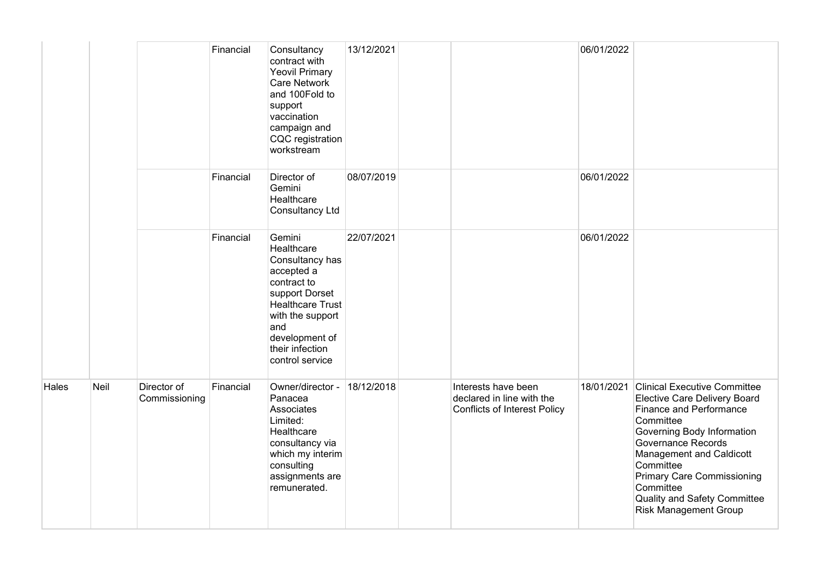|       |      |                              | Financial | Consultancy<br>contract with<br>Yeovil Primary<br><b>Care Network</b><br>and 100Fold to<br>support<br>vaccination<br>campaign and<br>CQC registration<br>workstream                                  | 13/12/2021 |                                                                                         | 06/01/2022 |                                                                                                                                                                                                                                                                                                                                          |
|-------|------|------------------------------|-----------|------------------------------------------------------------------------------------------------------------------------------------------------------------------------------------------------------|------------|-----------------------------------------------------------------------------------------|------------|------------------------------------------------------------------------------------------------------------------------------------------------------------------------------------------------------------------------------------------------------------------------------------------------------------------------------------------|
|       |      |                              | Financial | Director of<br>Gemini<br>Healthcare<br>Consultancy Ltd                                                                                                                                               | 08/07/2019 |                                                                                         | 06/01/2022 |                                                                                                                                                                                                                                                                                                                                          |
|       |      |                              | Financial | Gemini<br>Healthcare<br>Consultancy has<br>accepted a<br>contract to<br>support Dorset<br><b>Healthcare Trust</b><br>with the support<br>and<br>development of<br>their infection<br>control service | 22/07/2021 |                                                                                         | 06/01/2022 |                                                                                                                                                                                                                                                                                                                                          |
| Hales | Neil | Director of<br>Commissioning | Financial | Owner/director -<br>Panacea<br>Associates<br>Limited:<br>Healthcare<br>consultancy via<br>which my interim<br>consulting<br>assignments are<br>remunerated.                                          | 18/12/2018 | Interests have been<br>declared in line with the<br><b>Conflicts of Interest Policy</b> | 18/01/2021 | <b>Clinical Executive Committee</b><br><b>Elective Care Delivery Board</b><br><b>Finance and Performance</b><br>Committee<br>Governing Body Information<br>Governance Records<br>Management and Caldicott<br>Committee<br><b>Primary Care Commissioning</b><br>Committee<br>Quality and Safety Committee<br><b>Risk Management Group</b> |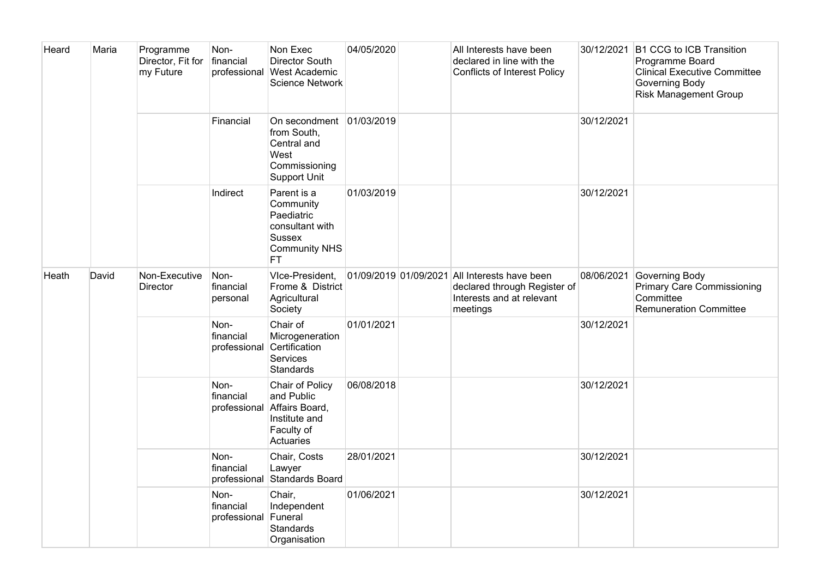| Heard | Maria | Programme<br>Director, Fit for<br>my Future | Non-<br>financial                         | Non Exec<br><b>Director South</b><br>professional West Academic<br><b>Science Network</b>                | 04/05/2020 | All Interests have been<br>declared in line with the<br><b>Conflicts of Interest Policy</b>                            |            | 30/12/2021 B1 CCG to ICB Transition<br>Programme Board<br><b>Clinical Executive Committee</b><br>Governing Body<br><b>Risk Management Group</b> |
|-------|-------|---------------------------------------------|-------------------------------------------|----------------------------------------------------------------------------------------------------------|------------|------------------------------------------------------------------------------------------------------------------------|------------|-------------------------------------------------------------------------------------------------------------------------------------------------|
|       |       |                                             | Financial                                 | On secondment<br>from South,<br>Central and<br>West<br>Commissioning<br><b>Support Unit</b>              | 01/03/2019 |                                                                                                                        | 30/12/2021 |                                                                                                                                                 |
|       |       |                                             | Indirect                                  | Parent is a<br>Community<br>Paediatric<br>consultant with<br>Sussex<br><b>Community NHS</b><br>FT.       | 01/03/2019 |                                                                                                                        | 30/12/2021 |                                                                                                                                                 |
| Heath | David | Non-Executive<br>Director                   | Non-<br>financial<br>personal             | VIce-President,<br>Frome & District<br>Agricultural<br>Society                                           |            | 01/09/2019 01/09/2021 All Interests have been<br>declared through Register of<br>Interests and at relevant<br>meetings | 08/06/2021 | Governing Body<br><b>Primary Care Commissioning</b><br>Committee<br><b>Remuneration Committee</b>                                               |
|       |       |                                             | Non-<br>financial                         | Chair of<br>Microgeneration<br>professional Certification<br>Services<br><b>Standards</b>                | 01/01/2021 |                                                                                                                        | 30/12/2021 |                                                                                                                                                 |
|       |       |                                             | Non-<br>financial                         | Chair of Policy<br>and Public<br>professional Affairs Board,<br>Institute and<br>Faculty of<br>Actuaries | 06/08/2018 |                                                                                                                        | 30/12/2021 |                                                                                                                                                 |
|       |       |                                             | Non-<br>financial                         | Chair, Costs<br>Lawyer<br>professional Standards Board                                                   | 28/01/2021 |                                                                                                                        | 30/12/2021 |                                                                                                                                                 |
|       |       |                                             | Non-<br>financial<br>professional Funeral | Chair,<br>Independent<br><b>Standards</b><br>Organisation                                                | 01/06/2021 |                                                                                                                        | 30/12/2021 |                                                                                                                                                 |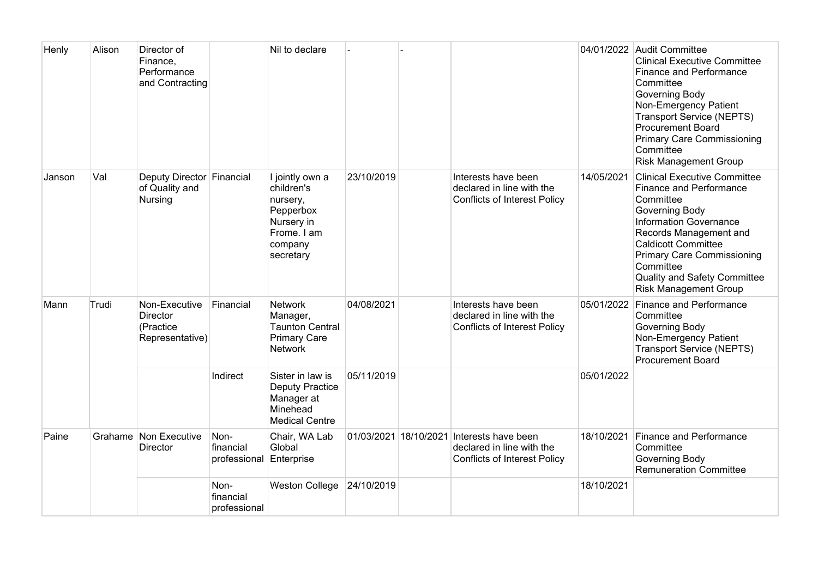| Henly  | Alison | Director of<br>Finance,<br>Performance<br>and Contracting |                                   | Nil to declare                                                                                              |                       |                                                                                         |            | 04/01/2022 Audit Committee<br><b>Clinical Executive Committee</b><br><b>Finance and Performance</b><br>Committee<br>Governing Body<br>Non-Emergency Patient<br><b>Transport Service (NEPTS)</b><br><b>Procurement Board</b><br><b>Primary Care Commissioning</b><br>Committee<br><b>Risk Management Group</b>   |
|--------|--------|-----------------------------------------------------------|-----------------------------------|-------------------------------------------------------------------------------------------------------------|-----------------------|-----------------------------------------------------------------------------------------|------------|-----------------------------------------------------------------------------------------------------------------------------------------------------------------------------------------------------------------------------------------------------------------------------------------------------------------|
| Janson | Val    | Deputy Director Financial<br>of Quality and<br>Nursing    |                                   | I jointly own a<br>children's<br>nursery,<br>Pepperbox<br>Nursery in<br>Frome. I am<br>company<br>secretary | 23/10/2019            | Interests have been<br>declared in line with the<br><b>Conflicts of Interest Policy</b> | 14/05/2021 | <b>Clinical Executive Committee</b><br><b>Finance and Performance</b><br>Committee<br>Governing Body<br>Information Governance<br>Records Management and<br><b>Caldicott Committee</b><br><b>Primary Care Commissioning</b><br>Committee<br><b>Quality and Safety Committee</b><br><b>Risk Management Group</b> |
| Mann   | Trudi  | Non-Executive<br>Director<br>(Practice<br>Representative) | Financial                         | <b>Network</b><br>Manager,<br><b>Taunton Central</b><br><b>Primary Care</b><br><b>Network</b>               | 04/08/2021            | Interests have been<br>declared in line with the<br><b>Conflicts of Interest Policy</b> | 05/01/2022 | Finance and Performance<br>Committee<br>Governing Body<br>Non-Emergency Patient<br><b>Transport Service (NEPTS)</b><br><b>Procurement Board</b>                                                                                                                                                                 |
|        |        |                                                           | Indirect                          | Sister in law is<br><b>Deputy Practice</b><br>Manager at<br>Minehead<br><b>Medical Centre</b>               | 05/11/2019            |                                                                                         | 05/01/2022 |                                                                                                                                                                                                                                                                                                                 |
| Paine  |        | Grahame Non Executive<br>Director                         | Non-<br>financial<br>professional | Chair, WA Lab<br>Global<br>Enterprise                                                                       | 01/03/2021 18/10/2021 | Interests have been<br>declared in line with the<br><b>Conflicts of Interest Policy</b> | 18/10/2021 | Finance and Performance<br>Committee<br><b>Governing Body</b><br><b>Remuneration Committee</b>                                                                                                                                                                                                                  |
|        |        |                                                           | Non-<br>financial<br>professional | <b>Weston College</b>                                                                                       | 24/10/2019            |                                                                                         | 18/10/2021 |                                                                                                                                                                                                                                                                                                                 |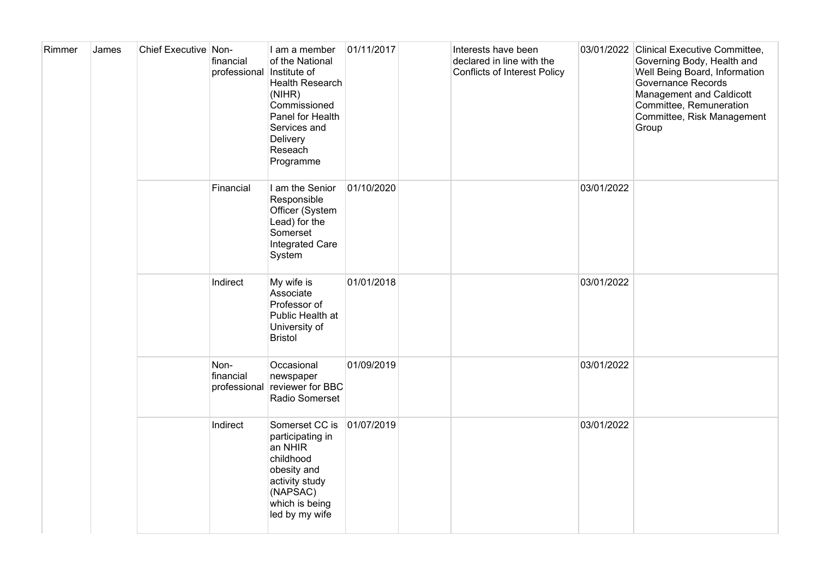| Rimmer | James | Chief Executive Non- | financial<br>professional Institute of | I am a member<br>of the National<br>Health Research<br>(NIHR)<br>Commissioned<br>Panel for Health<br>Services and<br>Delivery<br>Reseach<br>Programme | 01/11/2017 | Interests have been<br>declared in line with the<br><b>Conflicts of Interest Policy</b> |            | 03/01/2022 Clinical Executive Committee,<br>Governing Body, Health and<br>Well Being Board, Information<br>Governance Records<br>Management and Caldicott<br>Committee, Remuneration<br>Committee, Risk Management<br>Group |
|--------|-------|----------------------|----------------------------------------|-------------------------------------------------------------------------------------------------------------------------------------------------------|------------|-----------------------------------------------------------------------------------------|------------|-----------------------------------------------------------------------------------------------------------------------------------------------------------------------------------------------------------------------------|
|        |       |                      | Financial                              | I am the Senior<br>Responsible<br>Officer (System<br>Lead) for the<br>Somerset<br>Integrated Care<br>System                                           | 01/10/2020 |                                                                                         | 03/01/2022 |                                                                                                                                                                                                                             |
|        |       |                      | Indirect                               | My wife is<br>Associate<br>Professor of<br>Public Health at<br>University of<br><b>Bristol</b>                                                        | 01/01/2018 |                                                                                         | 03/01/2022 |                                                                                                                                                                                                                             |
|        |       |                      | Non-<br>financial                      | Occasional<br>newspaper<br>professional reviewer for BBC<br>Radio Somerset                                                                            | 01/09/2019 |                                                                                         | 03/01/2022 |                                                                                                                                                                                                                             |
|        |       |                      | Indirect                               | Somerset CC is<br>participating in<br>an NHIR<br>childhood<br>obesity and<br>activity study<br>(NAPSAC)<br>which is being<br>led by my wife           | 01/07/2019 |                                                                                         | 03/01/2022 |                                                                                                                                                                                                                             |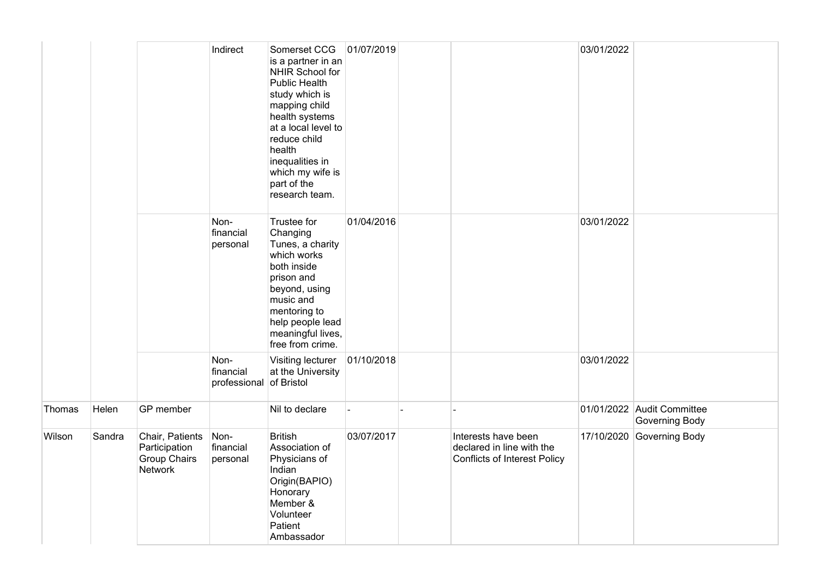|        |        |                                                                    | Indirect                                     | Somerset CCG<br>is a partner in an<br>NHIR School for<br>Public Health<br>study which is<br>mapping child<br>health systems<br>at a local level to<br>reduce child<br>health<br>inequalities in<br>which my wife is<br>part of the<br>research team. | 01/07/2019     |                                                                                         | 03/01/2022 |                                              |
|--------|--------|--------------------------------------------------------------------|----------------------------------------------|------------------------------------------------------------------------------------------------------------------------------------------------------------------------------------------------------------------------------------------------------|----------------|-----------------------------------------------------------------------------------------|------------|----------------------------------------------|
|        |        |                                                                    | Non-<br>financial<br>personal                | Trustee for<br>Changing<br>Tunes, a charity<br>which works<br>both inside<br>prison and<br>beyond, using<br>music and<br>mentoring to<br>help people lead<br>meaningful lives,<br>free from crime.                                                   | 01/04/2016     |                                                                                         | 03/01/2022 |                                              |
|        |        |                                                                    | Non-<br>financial<br>professional of Bristol | Visiting lecturer<br>at the University                                                                                                                                                                                                               | 01/10/2018     |                                                                                         | 03/01/2022 |                                              |
| Thomas | Helen  | GP member                                                          |                                              | Nil to declare                                                                                                                                                                                                                                       | $\overline{a}$ |                                                                                         |            | 01/01/2022 Audit Committee<br>Governing Body |
| Wilson | Sandra | Chair, Patients<br>Participation<br><b>Group Chairs</b><br>Network | Non-<br>financial<br>personal                | <b>British</b><br>Association of<br>Physicians of<br>Indian<br>Origin(BAPIO)<br>Honorary<br>Member &<br>Volunteer<br>Patient<br>Ambassador                                                                                                           | 03/07/2017     | Interests have been<br>declared in line with the<br><b>Conflicts of Interest Policy</b> |            | 17/10/2020 Governing Body                    |